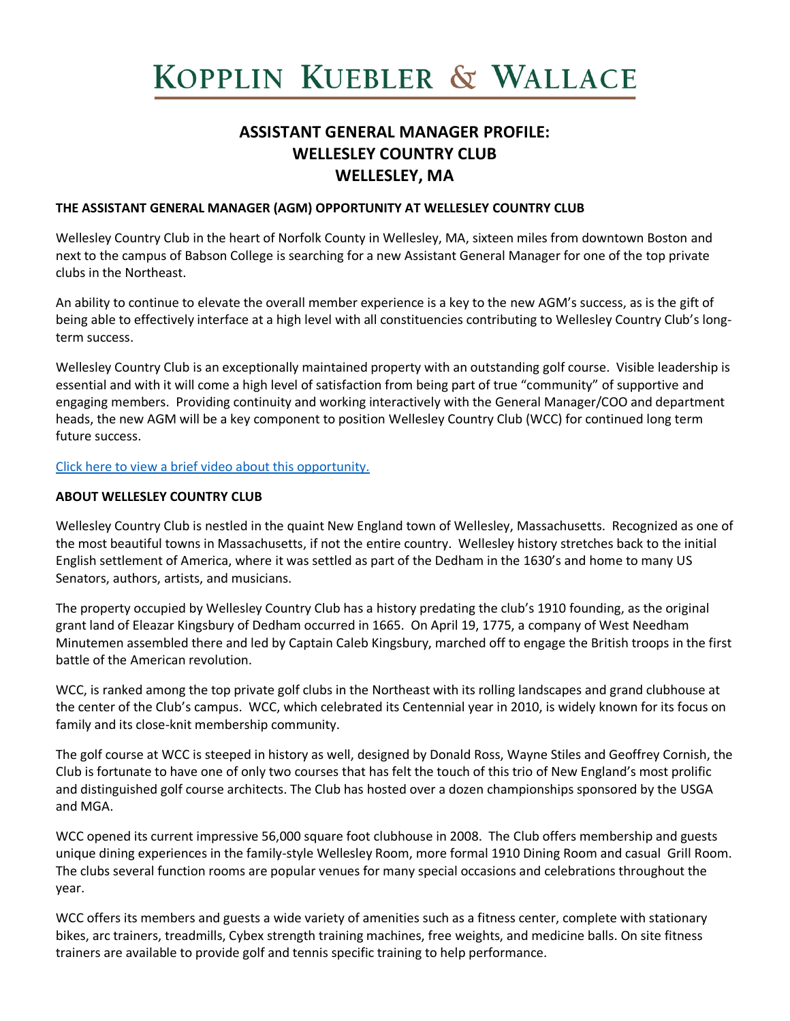# KOPPLIN KUEBLER & WALLACE

# **ASSISTANT GENERAL MANAGER PROFILE: WELLESLEY COUNTRY CLUB WELLESLEY, MA**

# **THE ASSISTANT GENERAL MANAGER (AGM) OPPORTUNITY AT WELLESLEY COUNTRY CLUB**

Wellesley Country Club in the heart of Norfolk County in Wellesley, MA, sixteen miles from downtown Boston and next to the campus of Babson College is searching for a new Assistant General Manager for one of the top private clubs in the Northeast.

An ability to continue to elevate the overall member experience is a key to the new AGM's success, as is the gift of being able to effectively interface at a high level with all constituencies contributing to Wellesley Country Club's longterm success.

Wellesley Country Club is an exceptionally maintained property with an outstanding golf course. Visible leadership is essential and with it will come a high level of satisfaction from being part of true "community" of supportive and engaging members. Providing continuity and working interactively with the General Manager/COO and department heads, the new AGM will be a key component to position Wellesley Country Club (WCC) for continued long term future success.

[Click here to view a brief video about this opportunity.](https://www.youtube.com/watch?v=F7lTtPvNXKI)

#### **ABOUT WELLESLEY COUNTRY CLUB**

Wellesley Country Club is nestled in the quaint New England town of Wellesley, Massachusetts. Recognized as one of the most beautiful towns in Massachusetts, if not the entire country. Wellesley history stretches back to the initial English settlement of America, where it was settled as part of the Dedham in the 1630's and home to many US Senators, authors, artists, and musicians.

The property occupied by Wellesley Country Club has a history predating the club's 1910 founding, as the original grant land of Eleazar Kingsbury of Dedham occurred in 1665. On April 19, 1775, a company of West Needham Minutemen assembled there and led by Captain Caleb Kingsbury, marched off to engage the British troops in the first battle of the American revolution.

WCC, is ranked among the top private golf clubs in the Northeast with its rolling landscapes and grand clubhouse at the center of the Club's campus. WCC, which celebrated its Centennial year in 2010, is widely known for its focus on family and its close-knit membership community.

The golf course at WCC is steeped in history as well, designed by Donald Ross, Wayne Stiles and Geoffrey Cornish, the Club is fortunate to have one of only two courses that has felt the touch of this trio of New England's most prolific and distinguished golf course architects. The Club has hosted over a dozen championships sponsored by the USGA and MGA.

WCC opened its current impressive 56,000 square foot clubhouse in 2008. The Club offers membership and guests unique dining experiences in the family-style Wellesley Room, more formal 1910 Dining Room and casual Grill Room. The clubs several function rooms are popular venues for many special occasions and celebrations throughout the year.

WCC offers its members and guests a wide variety of amenities such as a fitness center, complete with stationary bikes, arc trainers, treadmills, Cybex strength training machines, free weights, and medicine balls. On site fitness trainers are available to provide golf and tennis specific training to help performance.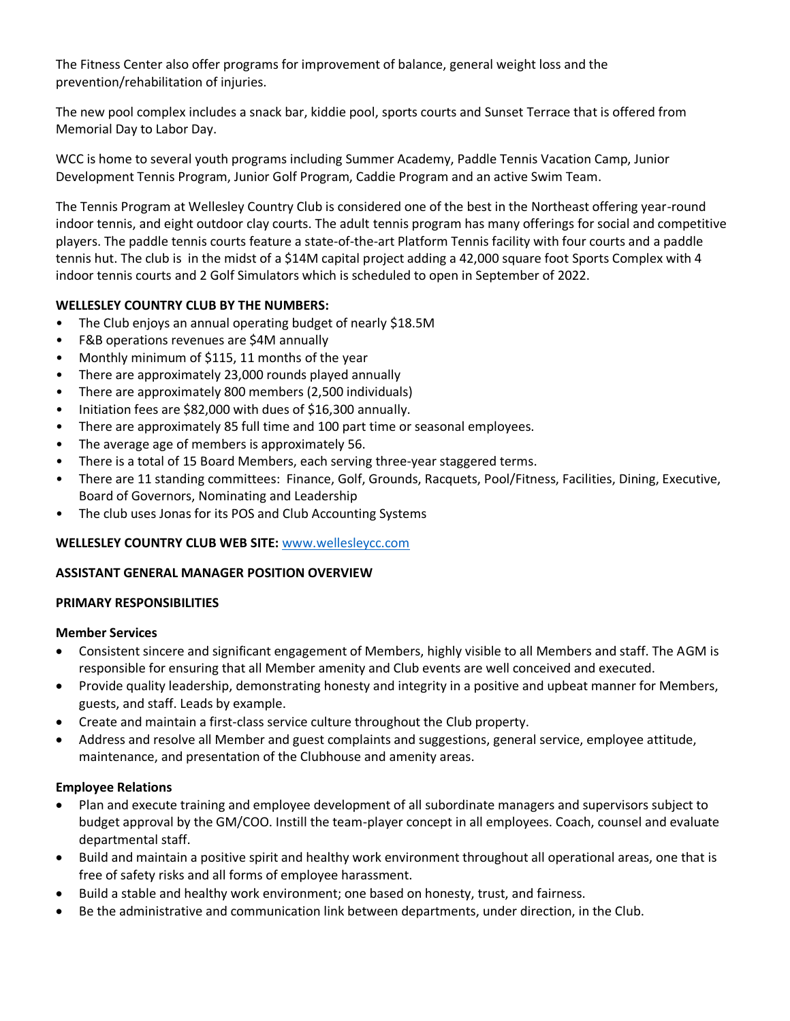The Fitness Center also offer programs for improvement of balance, general weight loss and the prevention/rehabilitation of injuries.

The new pool complex includes a snack bar, kiddie pool, sports courts and Sunset Terrace that is offered from Memorial Day to Labor Day.

WCC is home to several youth programs including Summer Academy, Paddle Tennis Vacation Camp, Junior Development Tennis Program, Junior Golf Program, Caddie Program and an active Swim Team.

The Tennis Program at Wellesley Country Club is considered one of the best in the Northeast offering year-round indoor tennis, and eight outdoor clay courts. The adult tennis program has many offerings for social and competitive players. The paddle tennis courts feature a state-of-the-art Platform Tennis facility with four courts and a paddle tennis hut. The club is in the midst of a \$14M capital project adding a 42,000 square foot Sports Complex with 4 indoor tennis courts and 2 Golf Simulators which is scheduled to open in September of 2022.

# **WELLESLEY COUNTRY CLUB BY THE NUMBERS:**

- The Club enjoys an annual operating budget of nearly \$18.5M
- F&B operations revenues are \$4M annually
- Monthly minimum of \$115, 11 months of the year
- There are approximately 23,000 rounds played annually
- There are approximately 800 members (2,500 individuals)
- Initiation fees are \$82,000 with dues of \$16,300 annually.
- There are approximately 85 full time and 100 part time or seasonal employees.
- The average age of members is approximately 56.
- There is a total of 15 Board Members, each serving three-year staggered terms.
- There are 11 standing committees: Finance, Golf, Grounds, Racquets, Pool/Fitness, Facilities, Dining, Executive, Board of Governors, Nominating and Leadership
- The club uses Jonas for its POS and Club Accounting Systems

# **WELLESLEY COUNTRY CLUB WEB SITE:** [www.wellesleycc.com](http://www.wellesleycc.com/)

# **ASSISTANT GENERAL MANAGER POSITION OVERVIEW**

#### **PRIMARY RESPONSIBILITIES**

#### **Member Services**

- Consistent sincere and significant engagement of Members, highly visible to all Members and staff. The AGM is responsible for ensuring that all Member amenity and Club events are well conceived and executed.
- Provide quality leadership, demonstrating honesty and integrity in a positive and upbeat manner for Members, guests, and staff. Leads by example.
- Create and maintain a first-class service culture throughout the Club property.
- Address and resolve all Member and guest complaints and suggestions, general service, employee attitude, maintenance, and presentation of the Clubhouse and amenity areas.

# **Employee Relations**

- Plan and execute training and employee development of all subordinate managers and supervisors subject to budget approval by the GM/COO. Instill the team-player concept in all employees. Coach, counsel and evaluate departmental staff.
- Build and maintain a positive spirit and healthy work environment throughout all operational areas, one that is free of safety risks and all forms of employee harassment.
- Build a stable and healthy work environment; one based on honesty, trust, and fairness.
- Be the administrative and communication link between departments, under direction, in the Club.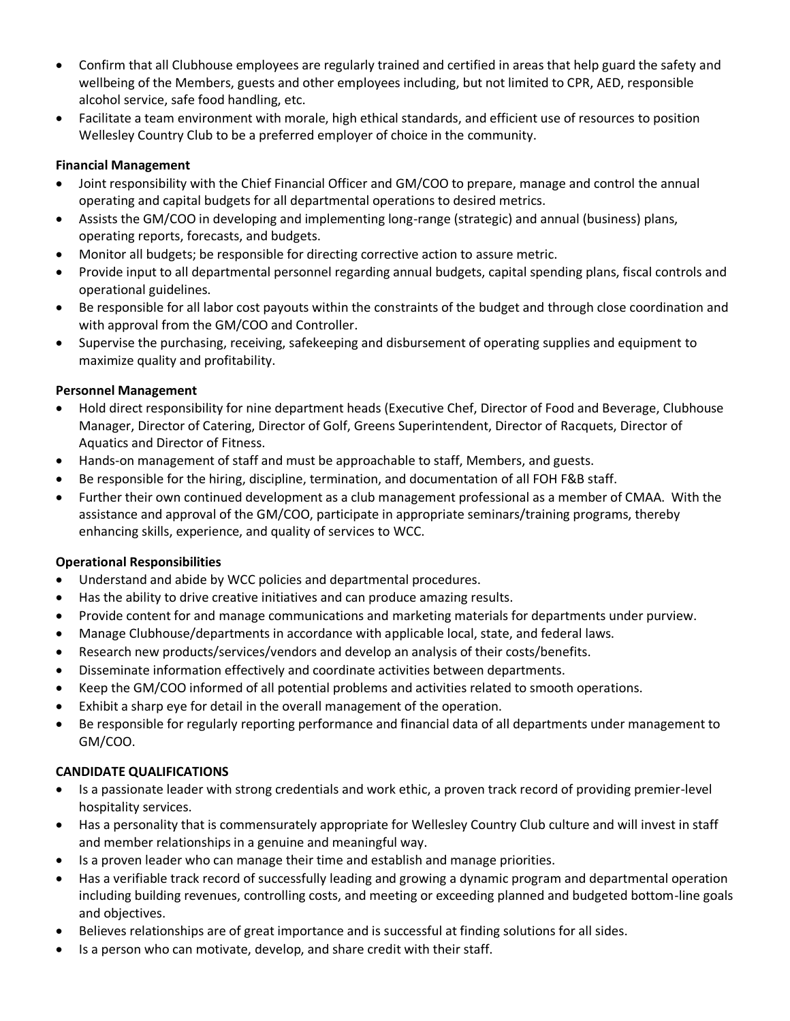- Confirm that all Clubhouse employees are regularly trained and certified in areas that help guard the safety and wellbeing of the Members, guests and other employees including, but not limited to CPR, AED, responsible alcohol service, safe food handling, etc.
- Facilitate a team environment with morale, high ethical standards, and efficient use of resources to position Wellesley Country Club to be a preferred employer of choice in the community.

# **Financial Management**

- Joint responsibility with the Chief Financial Officer and GM/COO to prepare, manage and control the annual operating and capital budgets for all departmental operations to desired metrics.
- Assists the GM/COO in developing and implementing long-range (strategic) and annual (business) plans, operating reports, forecasts, and budgets.
- Monitor all budgets; be responsible for directing corrective action to assure metric.
- Provide input to all departmental personnel regarding annual budgets, capital spending plans, fiscal controls and operational guidelines.
- Be responsible for all labor cost payouts within the constraints of the budget and through close coordination and with approval from the GM/COO and Controller.
- Supervise the purchasing, receiving, safekeeping and disbursement of operating supplies and equipment to maximize quality and profitability.

# **Personnel Management**

- Hold direct responsibility for nine department heads (Executive Chef, Director of Food and Beverage, Clubhouse Manager, Director of Catering, Director of Golf, Greens Superintendent, Director of Racquets, Director of Aquatics and Director of Fitness.
- Hands-on management of staff and must be approachable to staff, Members, and guests.
- Be responsible for the hiring, discipline, termination, and documentation of all FOH F&B staff.
- Further their own continued development as a club management professional as a member of CMAA. With the assistance and approval of the GM/COO, participate in appropriate seminars/training programs, thereby enhancing skills, experience, and quality of services to WCC.

# **Operational Responsibilities**

- Understand and abide by WCC policies and departmental procedures.
- Has the ability to drive creative initiatives and can produce amazing results.
- Provide content for and manage communications and marketing materials for departments under purview.
- Manage Clubhouse/departments in accordance with applicable local, state, and federal laws.
- Research new products/services/vendors and develop an analysis of their costs/benefits.
- Disseminate information effectively and coordinate activities between departments.
- Keep the GM/COO informed of all potential problems and activities related to smooth operations.
- Exhibit a sharp eye for detail in the overall management of the operation.
- Be responsible for regularly reporting performance and financial data of all departments under management to GM/COO.

# **CANDIDATE QUALIFICATIONS**

- Is a passionate leader with strong credentials and work ethic, a proven track record of providing premier-level hospitality services.
- Has a personality that is commensurately appropriate for Wellesley Country Club culture and will invest in staff and member relationships in a genuine and meaningful way.
- Is a proven leader who can manage their time and establish and manage priorities.
- Has a verifiable track record of successfully leading and growing a dynamic program and departmental operation including building revenues, controlling costs, and meeting or exceeding planned and budgeted bottom-line goals and objectives.
- Believes relationships are of great importance and is successful at finding solutions for all sides.
- Is a person who can motivate, develop, and share credit with their staff.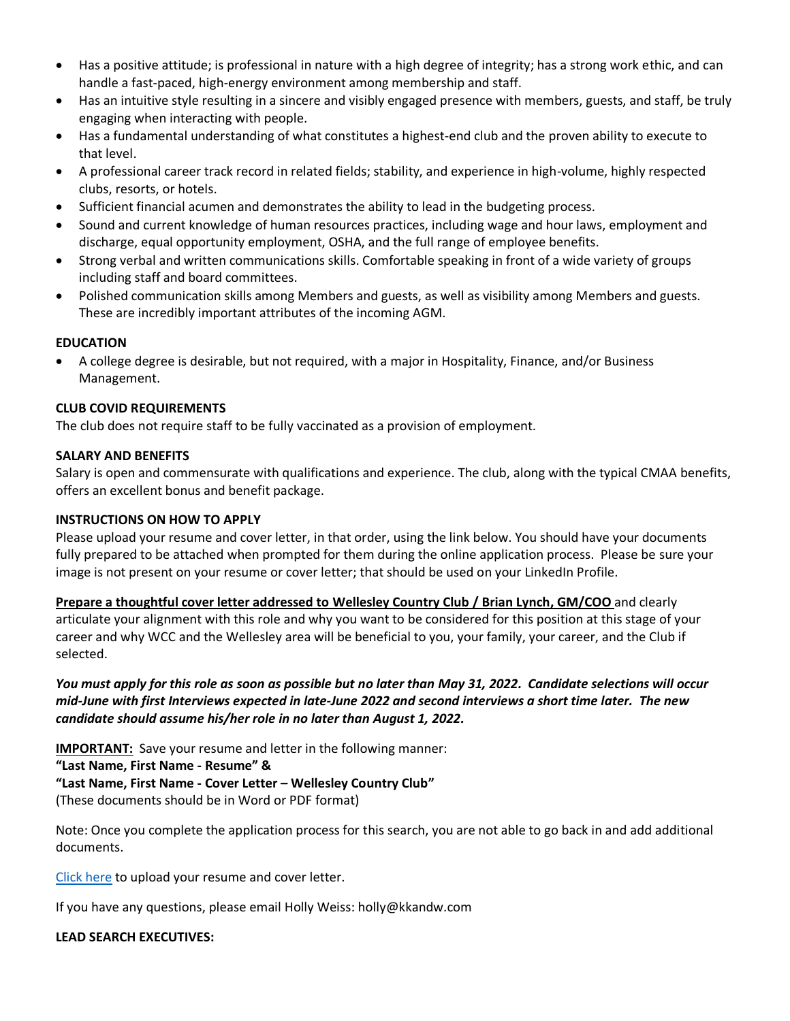- Has a positive attitude; is professional in nature with a high degree of integrity; has a strong work ethic, and can handle a fast-paced, high-energy environment among membership and staff.
- Has an intuitive style resulting in a sincere and visibly engaged presence with members, guests, and staff, be truly engaging when interacting with people.
- Has a fundamental understanding of what constitutes a highest-end club and the proven ability to execute to that level.
- A professional career track record in related fields; stability, and experience in high-volume, highly respected clubs, resorts, or hotels.
- Sufficient financial acumen and demonstrates the ability to lead in the budgeting process.
- Sound and current knowledge of human resources practices, including wage and hour laws, employment and discharge, equal opportunity employment, OSHA, and the full range of employee benefits.
- Strong verbal and written communications skills. Comfortable speaking in front of a wide variety of groups including staff and board committees.
- Polished communication skills among Members and guests, as well as visibility among Members and guests. These are incredibly important attributes of the incoming AGM.

# **EDUCATION**

• A college degree is desirable, but not required, with a major in Hospitality, Finance, and/or Business Management.

#### **CLUB COVID REQUIREMENTS**

The club does not require staff to be fully vaccinated as a provision of employment.

#### **SALARY AND BENEFITS**

Salary is open and commensurate with qualifications and experience. The club, along with the typical CMAA benefits, offers an excellent bonus and benefit package.

#### **INSTRUCTIONS ON HOW TO APPLY**

Please upload your resume and cover letter, in that order, using the link below. You should have your documents fully prepared to be attached when prompted for them during the online application process. Please be sure your image is not present on your resume or cover letter; that should be used on your LinkedIn Profile.

**Prepare a thoughtful cover letter addressed to Wellesley Country Club / Brian Lynch, GM/COO** and clearly articulate your alignment with this role and why you want to be considered for this position at this stage of your career and why WCC and the Wellesley area will be beneficial to you, your family, your career, and the Club if selected.

*You must apply for this role as soon as possible but no later than May 31, 2022. Candidate selections will occur mid-June with first Interviews expected in late-June 2022 and second interviews a short time later. The new candidate should assume his/her role in no later than August 1, 2022.*

**IMPORTANT:** Save your resume and letter in the following manner:

**"Last Name, First Name - Resume" &** 

# **"Last Name, First Name - Cover Letter – Wellesley Country Club"**

(These documents should be in Word or PDF format)

Note: Once you complete the application process for this search, you are not able to go back in and add additional documents.

[Click here](https://kopplinandkuebler.secure.force.com/careers/ts2__Register?jobId=a0x6T000009yA8OQAU&tSource=) to upload your resume and cover letter.

If you have any questions, please email Holly Weiss: holly@kkandw.com

#### **LEAD SEARCH EXECUTIVES:**